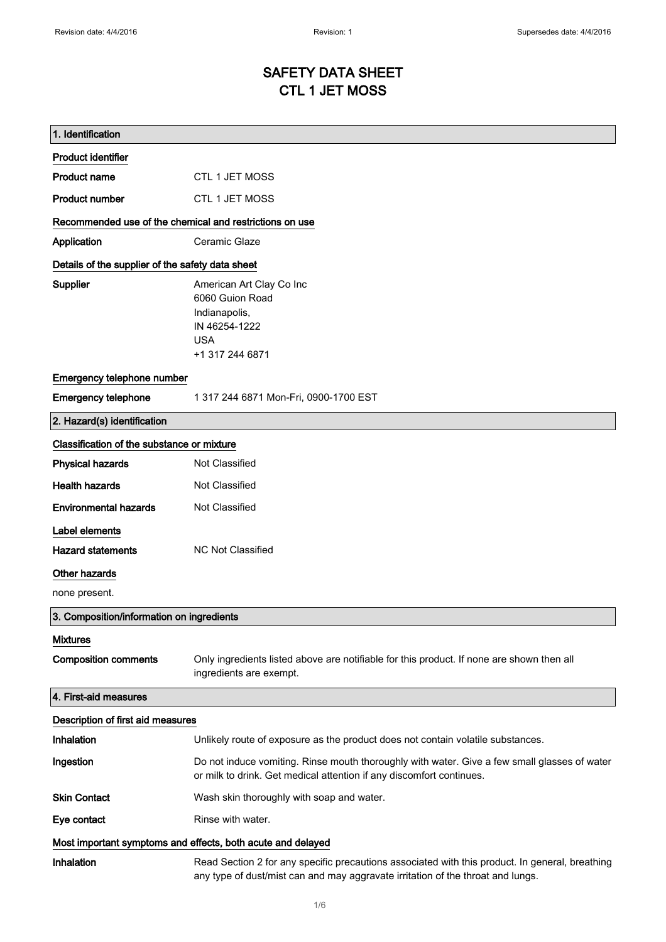## SAFETY DATA SHEET CTL 1 JET MOSS

| 1. Identification                                           |                                                                                                                                                                                    |
|-------------------------------------------------------------|------------------------------------------------------------------------------------------------------------------------------------------------------------------------------------|
| <b>Product identifier</b>                                   |                                                                                                                                                                                    |
| <b>Product name</b>                                         | <b>CTL 1 JET MOSS</b>                                                                                                                                                              |
| <b>Product number</b>                                       | CTL 1 JET MOSS                                                                                                                                                                     |
| Recommended use of the chemical and restrictions on use     |                                                                                                                                                                                    |
| Application                                                 | Ceramic Glaze                                                                                                                                                                      |
| Details of the supplier of the safety data sheet            |                                                                                                                                                                                    |
| Supplier                                                    | American Art Clay Co Inc<br>6060 Guion Road<br>Indianapolis,<br>IN 46254-1222<br><b>USA</b><br>+1 317 244 6871                                                                     |
| Emergency telephone number                                  |                                                                                                                                                                                    |
| <b>Emergency telephone</b>                                  | 1 317 244 6871 Mon-Fri, 0900-1700 EST                                                                                                                                              |
| 2. Hazard(s) identification                                 |                                                                                                                                                                                    |
| Classification of the substance or mixture                  |                                                                                                                                                                                    |
| <b>Physical hazards</b>                                     | Not Classified                                                                                                                                                                     |
| <b>Health hazards</b>                                       | Not Classified                                                                                                                                                                     |
| <b>Environmental hazards</b>                                | Not Classified                                                                                                                                                                     |
| Label elements                                              |                                                                                                                                                                                    |
| <b>Hazard statements</b>                                    | <b>NC Not Classified</b>                                                                                                                                                           |
| <b>Other hazards</b>                                        |                                                                                                                                                                                    |
| none present.                                               |                                                                                                                                                                                    |
| 3. Composition/information on ingredients                   |                                                                                                                                                                                    |
| <b>Mixtures</b>                                             |                                                                                                                                                                                    |
| <b>Composition comments</b>                                 | Only ingredients listed above are notifiable for this product. If none are shown then all<br>ingredients are exempt.                                                               |
| 4. First-aid measures                                       |                                                                                                                                                                                    |
| Description of first aid measures                           |                                                                                                                                                                                    |
| Inhalation                                                  | Unlikely route of exposure as the product does not contain volatile substances.                                                                                                    |
| Ingestion                                                   | Do not induce vomiting. Rinse mouth thoroughly with water. Give a few small glasses of water<br>or milk to drink. Get medical attention if any discomfort continues.               |
| <b>Skin Contact</b>                                         | Wash skin thoroughly with soap and water.                                                                                                                                          |
| Eye contact                                                 | Rinse with water.                                                                                                                                                                  |
| Most important symptoms and effects, both acute and delayed |                                                                                                                                                                                    |
| Inhalation                                                  | Read Section 2 for any specific precautions associated with this product. In general, breathing<br>any type of dust/mist can and may aggravate irritation of the throat and lungs. |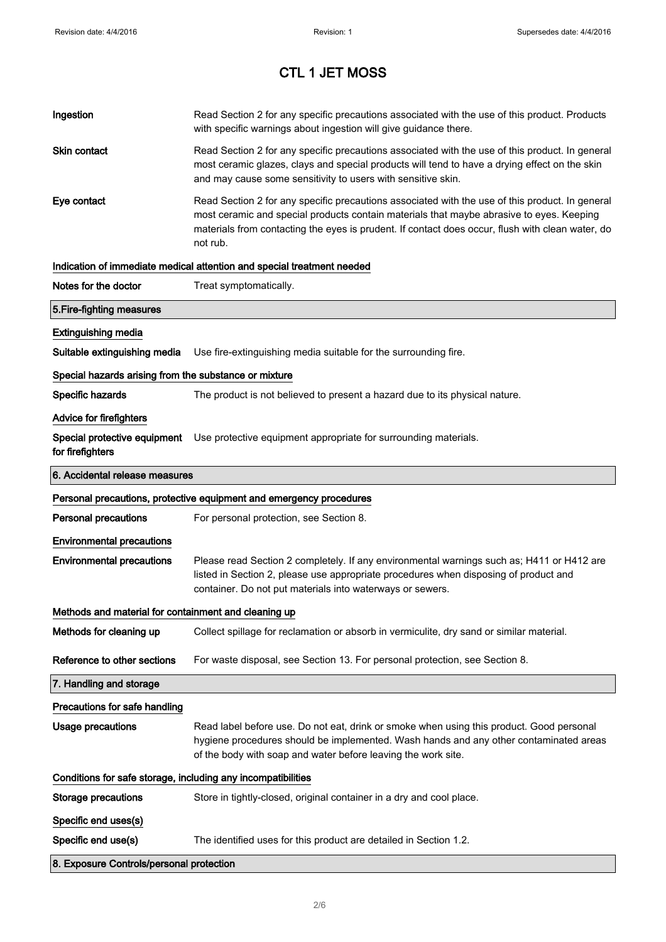| Ingestion                                                    | Read Section 2 for any specific precautions associated with the use of this product. Products<br>with specific warnings about ingestion will give guidance there.                                                                                                                                           |  |
|--------------------------------------------------------------|-------------------------------------------------------------------------------------------------------------------------------------------------------------------------------------------------------------------------------------------------------------------------------------------------------------|--|
| Skin contact                                                 | Read Section 2 for any specific precautions associated with the use of this product. In general<br>most ceramic glazes, clays and special products will tend to have a drying effect on the skin<br>and may cause some sensitivity to users with sensitive skin.                                            |  |
| Eye contact                                                  | Read Section 2 for any specific precautions associated with the use of this product. In general<br>most ceramic and special products contain materials that maybe abrasive to eyes. Keeping<br>materials from contacting the eyes is prudent. If contact does occur, flush with clean water, do<br>not rub. |  |
|                                                              | Indication of immediate medical attention and special treatment needed                                                                                                                                                                                                                                      |  |
| Notes for the doctor                                         | Treat symptomatically.                                                                                                                                                                                                                                                                                      |  |
| 5. Fire-fighting measures                                    |                                                                                                                                                                                                                                                                                                             |  |
| <b>Extinguishing media</b>                                   |                                                                                                                                                                                                                                                                                                             |  |
| Suitable extinguishing media                                 | Use fire-extinguishing media suitable for the surrounding fire.                                                                                                                                                                                                                                             |  |
| Special hazards arising from the substance or mixture        |                                                                                                                                                                                                                                                                                                             |  |
| Specific hazards                                             | The product is not believed to present a hazard due to its physical nature.                                                                                                                                                                                                                                 |  |
| <b>Advice for firefighters</b>                               |                                                                                                                                                                                                                                                                                                             |  |
| for firefighters                                             | Special protective equipment Use protective equipment appropriate for surrounding materials.                                                                                                                                                                                                                |  |
| 6. Accidental release measures                               |                                                                                                                                                                                                                                                                                                             |  |
|                                                              | Personal precautions, protective equipment and emergency procedures                                                                                                                                                                                                                                         |  |
| <b>Personal precautions</b>                                  | For personal protection, see Section 8.                                                                                                                                                                                                                                                                     |  |
| <b>Environmental precautions</b>                             |                                                                                                                                                                                                                                                                                                             |  |
| <b>Environmental precautions</b>                             | Please read Section 2 completely. If any environmental warnings such as; H411 or H412 are<br>listed in Section 2, please use appropriate procedures when disposing of product and<br>container. Do not put materials into waterways or sewers.                                                              |  |
| Methods and material for containment and cleaning up         |                                                                                                                                                                                                                                                                                                             |  |
| Methods for cleaning up                                      | Collect spillage for reclamation or absorb in vermiculite, dry sand or similar material.                                                                                                                                                                                                                    |  |
| Reference to other sections                                  | For waste disposal, see Section 13. For personal protection, see Section 8.                                                                                                                                                                                                                                 |  |
| 7. Handling and storage                                      |                                                                                                                                                                                                                                                                                                             |  |
| Precautions for safe handling                                |                                                                                                                                                                                                                                                                                                             |  |
| <b>Usage precautions</b>                                     | Read label before use. Do not eat, drink or smoke when using this product. Good personal<br>hygiene procedures should be implemented. Wash hands and any other contaminated areas<br>of the body with soap and water before leaving the work site.                                                          |  |
| Conditions for safe storage, including any incompatibilities |                                                                                                                                                                                                                                                                                                             |  |
| <b>Storage precautions</b>                                   | Store in tightly-closed, original container in a dry and cool place.                                                                                                                                                                                                                                        |  |
| Specific end uses(s)                                         |                                                                                                                                                                                                                                                                                                             |  |
| Specific end use(s)                                          | The identified uses for this product are detailed in Section 1.2.                                                                                                                                                                                                                                           |  |
|                                                              |                                                                                                                                                                                                                                                                                                             |  |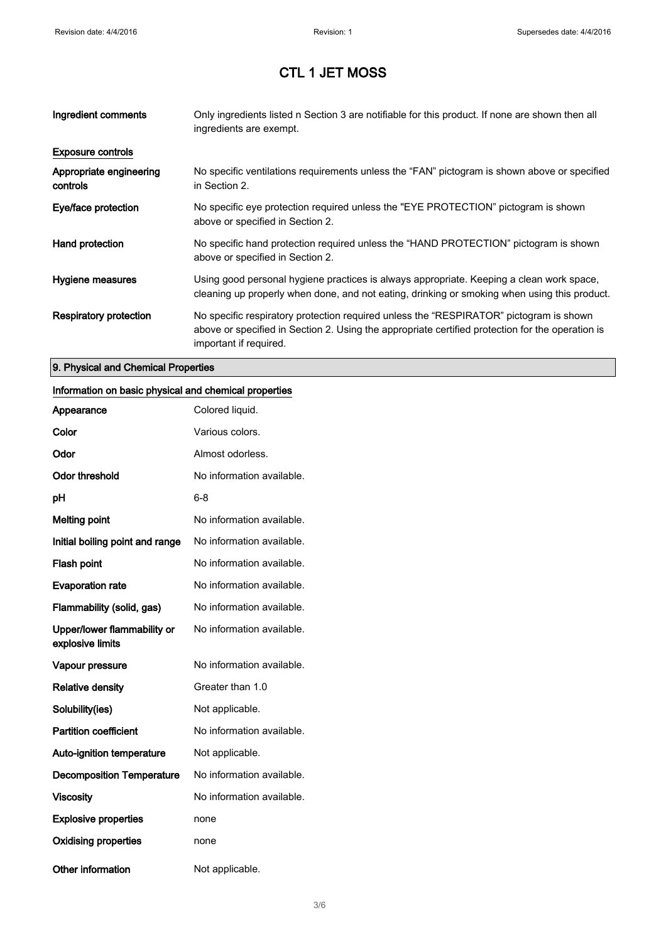| Ingredient comments                 | Only ingredients listed n Section 3 are notifiable for this product. If none are shown then all<br>ingredients are exempt.                                                                                           |
|-------------------------------------|----------------------------------------------------------------------------------------------------------------------------------------------------------------------------------------------------------------------|
| <b>Exposure controls</b>            |                                                                                                                                                                                                                      |
| Appropriate engineering<br>controls | No specific ventilations requirements unless the "FAN" pictogram is shown above or specified<br>in Section 2.                                                                                                        |
| Eye/face protection                 | No specific eye protection required unless the "EYE PROTECTION" pictogram is shown<br>above or specified in Section 2.                                                                                               |
| Hand protection                     | No specific hand protection required unless the "HAND PROTECTION" pictogram is shown<br>above or specified in Section 2.                                                                                             |
| Hygiene measures                    | Using good personal hygiene practices is always appropriate. Keeping a clean work space,<br>cleaning up properly when done, and not eating, drinking or smoking when using this product.                             |
| Respiratory protection              | No specific respiratory protection required unless the "RESPIRATOR" pictogram is shown<br>above or specified in Section 2. Using the appropriate certified protection for the operation is<br>important if required. |

### 9. Physical and Chemical Properties

#### Information on basic physical and chemical properties

| Appearance                                      | Colored liquid.           |
|-------------------------------------------------|---------------------------|
| Color                                           | Various colors.           |
| Odor                                            | Almost odorless.          |
| <b>Odor threshold</b>                           | No information available. |
| рH                                              | 6-8                       |
| <b>Melting point</b>                            | No information available. |
| Initial boiling point and range                 | No information available. |
| <b>Flash point</b>                              | No information available. |
| <b>Evaporation rate</b>                         | No information available. |
| Flammability (solid, gas)                       | No information available. |
| Upper/lower flammability or<br>explosive limits | No information available. |
| Vapour pressure                                 | No information available. |
| <b>Relative density</b>                         | Greater than 1.0          |
| Solubility(ies)                                 | Not applicable.           |
| <b>Partition coefficient</b>                    | No information available. |
| <b>Auto-ignition temperature</b>                | Not applicable.           |
| <b>Decomposition Temperature</b>                | No information available. |
| <b>Viscosity</b>                                | No information available. |
| <b>Explosive properties</b>                     | none                      |
| <b>Oxidising properties</b>                     | none                      |
| Other information                               | Not applicable.           |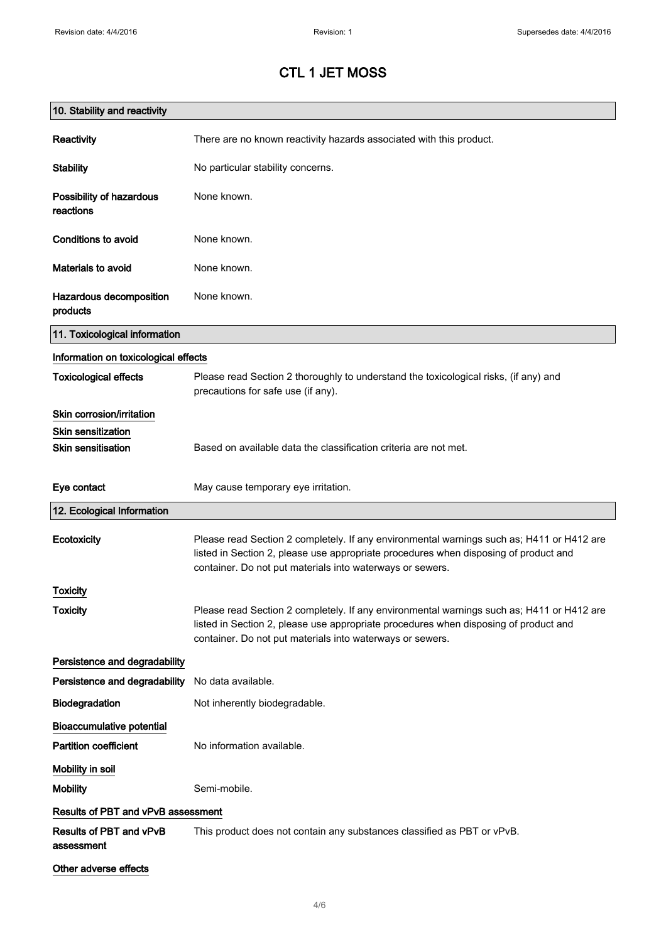| 10. Stability and reactivity          |                                                                                                                                                                                                                                                |
|---------------------------------------|------------------------------------------------------------------------------------------------------------------------------------------------------------------------------------------------------------------------------------------------|
| Reactivity                            | There are no known reactivity hazards associated with this product.                                                                                                                                                                            |
| <b>Stability</b>                      | No particular stability concerns.                                                                                                                                                                                                              |
| Possibility of hazardous<br>reactions | None known.                                                                                                                                                                                                                                    |
| Conditions to avoid                   | None known.                                                                                                                                                                                                                                    |
| Materials to avoid                    | None known.                                                                                                                                                                                                                                    |
| Hazardous decomposition<br>products   | None known.                                                                                                                                                                                                                                    |
| 11. Toxicological information         |                                                                                                                                                                                                                                                |
| Information on toxicological effects  |                                                                                                                                                                                                                                                |
| <b>Toxicological effects</b>          | Please read Section 2 thoroughly to understand the toxicological risks, (if any) and<br>precautions for safe use (if any).                                                                                                                     |
| Skin corrosion/irritation             |                                                                                                                                                                                                                                                |
| <b>Skin sensitization</b>             |                                                                                                                                                                                                                                                |
| <b>Skin sensitisation</b>             | Based on available data the classification criteria are not met.                                                                                                                                                                               |
| Eye contact                           | May cause temporary eye irritation.                                                                                                                                                                                                            |
| 12. Ecological Information            |                                                                                                                                                                                                                                                |
| Ecotoxicity                           | Please read Section 2 completely. If any environmental warnings such as; H411 or H412 are<br>listed in Section 2, please use appropriate procedures when disposing of product and<br>container. Do not put materials into waterways or sewers. |
| Toxicity                              |                                                                                                                                                                                                                                                |
| <b>Toxicity</b>                       | Please read Section 2 completely. If any environmental warnings such as; H411 or H412 are<br>listed in Section 2, please use appropriate procedures when disposing of product and<br>container. Do not put materials into waterways or sewers. |
| Persistence and degradability         |                                                                                                                                                                                                                                                |
| Persistence and degradability         | No data available.                                                                                                                                                                                                                             |
| Biodegradation                        | Not inherently biodegradable.                                                                                                                                                                                                                  |
| <b>Bioaccumulative potential</b>      |                                                                                                                                                                                                                                                |
| <b>Partition coefficient</b>          | No information available.                                                                                                                                                                                                                      |
| Mobility in soil                      |                                                                                                                                                                                                                                                |
| <b>Mobility</b>                       | Semi-mobile.                                                                                                                                                                                                                                   |
| Results of PBT and vPvB assessment    |                                                                                                                                                                                                                                                |
| Results of PBT and vPvB<br>assessment | This product does not contain any substances classified as PBT or vPvB.                                                                                                                                                                        |
| Other adverse effects                 |                                                                                                                                                                                                                                                |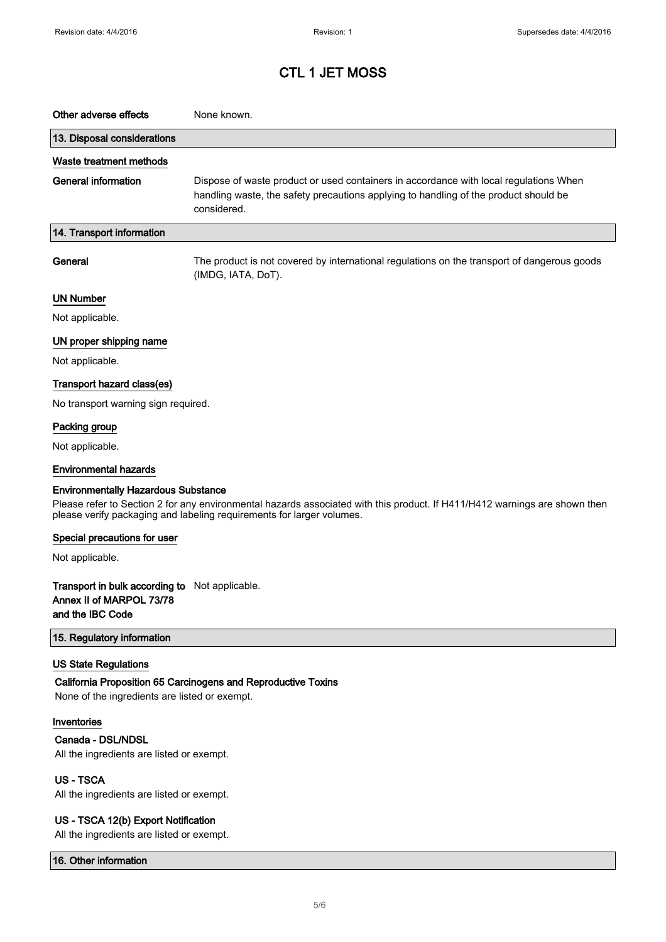| Other adverse effects                                                                                                                                                                                                                             | None known.                                                                                                                                                                                  |  |
|---------------------------------------------------------------------------------------------------------------------------------------------------------------------------------------------------------------------------------------------------|----------------------------------------------------------------------------------------------------------------------------------------------------------------------------------------------|--|
| 13. Disposal considerations                                                                                                                                                                                                                       |                                                                                                                                                                                              |  |
| Waste treatment methods                                                                                                                                                                                                                           |                                                                                                                                                                                              |  |
| <b>General information</b>                                                                                                                                                                                                                        | Dispose of waste product or used containers in accordance with local regulations When<br>handling waste, the safety precautions applying to handling of the product should be<br>considered. |  |
| 14. Transport information                                                                                                                                                                                                                         |                                                                                                                                                                                              |  |
| General                                                                                                                                                                                                                                           | The product is not covered by international regulations on the transport of dangerous goods<br>(IMDG, IATA, DoT).                                                                            |  |
| <b>UN Number</b>                                                                                                                                                                                                                                  |                                                                                                                                                                                              |  |
| Not applicable.                                                                                                                                                                                                                                   |                                                                                                                                                                                              |  |
| UN proper shipping name                                                                                                                                                                                                                           |                                                                                                                                                                                              |  |
| Not applicable.                                                                                                                                                                                                                                   |                                                                                                                                                                                              |  |
| Transport hazard class(es)                                                                                                                                                                                                                        |                                                                                                                                                                                              |  |
| No transport warning sign required.                                                                                                                                                                                                               |                                                                                                                                                                                              |  |
| Packing group                                                                                                                                                                                                                                     |                                                                                                                                                                                              |  |
| Not applicable.                                                                                                                                                                                                                                   |                                                                                                                                                                                              |  |
| <b>Environmental hazards</b>                                                                                                                                                                                                                      |                                                                                                                                                                                              |  |
| <b>Environmentally Hazardous Substance</b><br>Please refer to Section 2 for any environmental hazards associated with this product. If H411/H412 warnings are shown then<br>please verify packaging and labeling requirements for larger volumes. |                                                                                                                                                                                              |  |
| Special precautions for user                                                                                                                                                                                                                      |                                                                                                                                                                                              |  |
| Not applicable.                                                                                                                                                                                                                                   |                                                                                                                                                                                              |  |
| Transport in bulk according to Not applicable.<br>Annex II of MARPOL 73/78<br>and the IBC Code                                                                                                                                                    |                                                                                                                                                                                              |  |
| 15. Regulatory information                                                                                                                                                                                                                        |                                                                                                                                                                                              |  |
| <b>US State Regulations</b><br>None of the ingredients are listed or exempt.                                                                                                                                                                      | California Proposition 65 Carcinogens and Reproductive Toxins                                                                                                                                |  |
| Inventories                                                                                                                                                                                                                                       |                                                                                                                                                                                              |  |
| Canada - DSL/NDSL                                                                                                                                                                                                                                 |                                                                                                                                                                                              |  |
| All the ingredients are listed or exempt.                                                                                                                                                                                                         |                                                                                                                                                                                              |  |
| <b>US-TSCA</b><br>All the ingredients are listed or exempt.                                                                                                                                                                                       |                                                                                                                                                                                              |  |
|                                                                                                                                                                                                                                                   |                                                                                                                                                                                              |  |
| US - TSCA 12(b) Export Notification<br>All the ingredients are listed or exempt.                                                                                                                                                                  |                                                                                                                                                                                              |  |

16. Other information